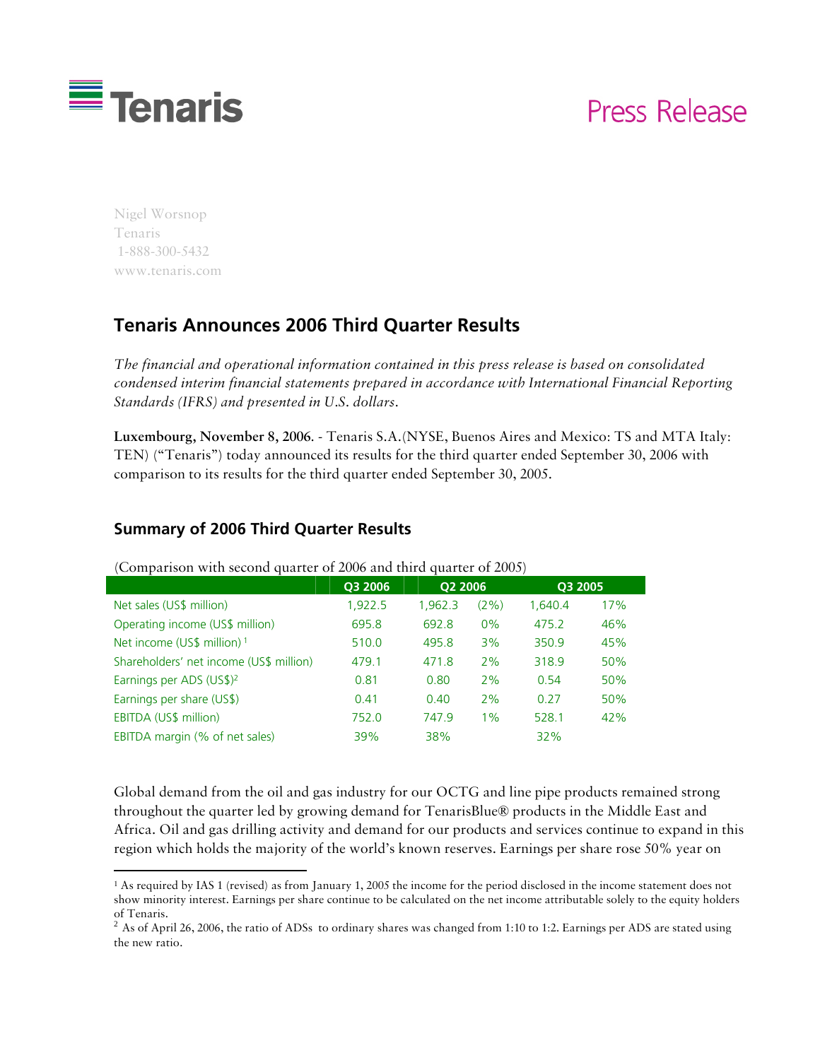

# Press Release

Nigel Worsnop Tenaris 1-888-300-5432 www.tenaris.com

1

# **Tenaris Announces 2006 Third Quarter Results**

*The financial and operational information contained in this press release is based on consolidated condensed interim financial statements prepared in accordance with International Financial Reporting Standards (IFRS) and presented in U.S. dollars.* 

**Luxembourg, November 8, 2006**. - Tenaris S.A.(NYSE, Buenos Aires and Mexico: TS and MTA Italy: TEN) ("Tenaris") today announced its results for the third quarter ended September 30, 2006 with comparison to its results for the third quarter ended September 30, 2005.

#### **Summary of 2006 Third Quarter Results**

|                                         | Q3 2006 | Q2 2006 |      | Q3 2005 |     |
|-----------------------------------------|---------|---------|------|---------|-----|
| Net sales (US\$ million)                | 1,922.5 | 1.962.3 | (2%) | 1.640.4 | 17% |
| Operating income (US\$ million)         | 695.8   | 692.8   | 0%   | 475.2   | 46% |
| Net income (US\$ million) 1             | 510.0   | 495.8   | 3%   | 350.9   | 45% |
| Shareholders' net income (US\$ million) | 479.1   | 471.8   | 2%   | 318.9   | 50% |
| Earnings per ADS (US\$) <sup>2</sup>    | 0.81    | 0.80    | 2%   | 0.54    | 50% |
| Earnings per share (US\$)               | 0.41    | 0.40    | 2%   | 0.27    | 50% |
| EBITDA (US\$ million)                   | 752.0   | 747.9   | 1%   | 528.1   | 42% |
| EBITDA margin (% of net sales)          | 39%     | 38%     |      | 32%     |     |

(Comparison with second quarter of 2006 and third quarter of 2005)

Global demand from the oil and gas industry for our OCTG and line pipe products remained strong throughout the quarter led by growing demand for TenarisBlue® products in the Middle East and Africa. Oil and gas drilling activity and demand for our products and services continue to expand in this region which holds the majority of the world's known reserves. Earnings per share rose 50% year on

<sup>1</sup> As required by IAS 1 (revised) as from January 1, 2005 the income for the period disclosed in the income statement does not show minority interest. Earnings per share continue to be calculated on the net income attributable solely to the equity holders of Tenaris.

 $^2$  As of April 26, 2006, the ratio of ADSs to ordinary shares was changed from 1:10 to 1:2. Earnings per ADS are stated using the new ratio.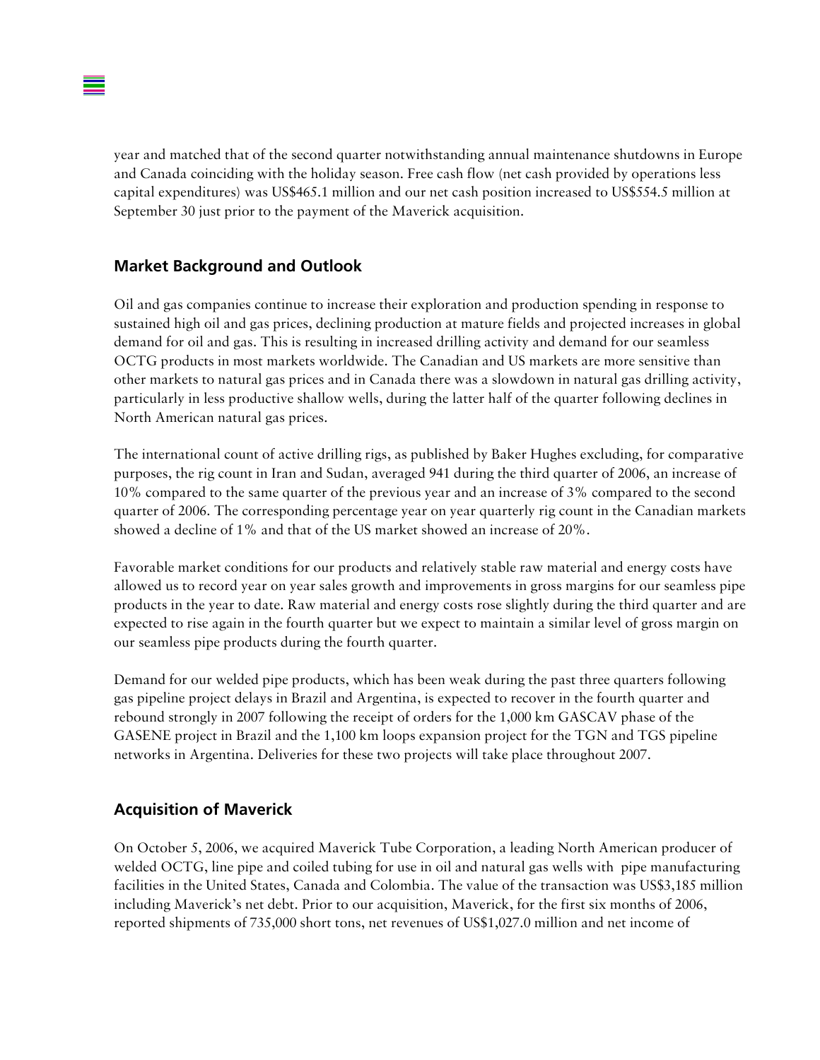year and matched that of the second quarter notwithstanding annual maintenance shutdowns in Europe and Canada coinciding with the holiday season. Free cash flow (net cash provided by operations less capital expenditures) was US\$465.1 million and our net cash position increased to US\$554.5 million at September 30 just prior to the payment of the Maverick acquisition.

#### **Market Background and Outlook**

Oil and gas companies continue to increase their exploration and production spending in response to sustained high oil and gas prices, declining production at mature fields and projected increases in global demand for oil and gas. This is resulting in increased drilling activity and demand for our seamless OCTG products in most markets worldwide. The Canadian and US markets are more sensitive than other markets to natural gas prices and in Canada there was a slowdown in natural gas drilling activity, particularly in less productive shallow wells, during the latter half of the quarter following declines in North American natural gas prices.

The international count of active drilling rigs, as published by Baker Hughes excluding, for comparative purposes, the rig count in Iran and Sudan, averaged 941 during the third quarter of 2006, an increase of 10% compared to the same quarter of the previous year and an increase of 3% compared to the second quarter of 2006. The corresponding percentage year on year quarterly rig count in the Canadian markets showed a decline of 1% and that of the US market showed an increase of 20%.

Favorable market conditions for our products and relatively stable raw material and energy costs have allowed us to record year on year sales growth and improvements in gross margins for our seamless pipe products in the year to date. Raw material and energy costs rose slightly during the third quarter and are expected to rise again in the fourth quarter but we expect to maintain a similar level of gross margin on our seamless pipe products during the fourth quarter.

Demand for our welded pipe products, which has been weak during the past three quarters following gas pipeline project delays in Brazil and Argentina, is expected to recover in the fourth quarter and rebound strongly in 2007 following the receipt of orders for the 1,000 km GASCAV phase of the GASENE project in Brazil and the 1,100 km loops expansion project for the TGN and TGS pipeline networks in Argentina. Deliveries for these two projects will take place throughout 2007.

## **Acquisition of Maverick**

On October 5, 2006, we acquired Maverick Tube Corporation, a leading North American producer of welded OCTG, line pipe and coiled tubing for use in oil and natural gas wells with pipe manufacturing facilities in the United States, Canada and Colombia. The value of the transaction was US\$3,185 million including Maverick's net debt. Prior to our acquisition, Maverick, for the first six months of 2006, reported shipments of 735,000 short tons, net revenues of US\$1,027.0 million and net income of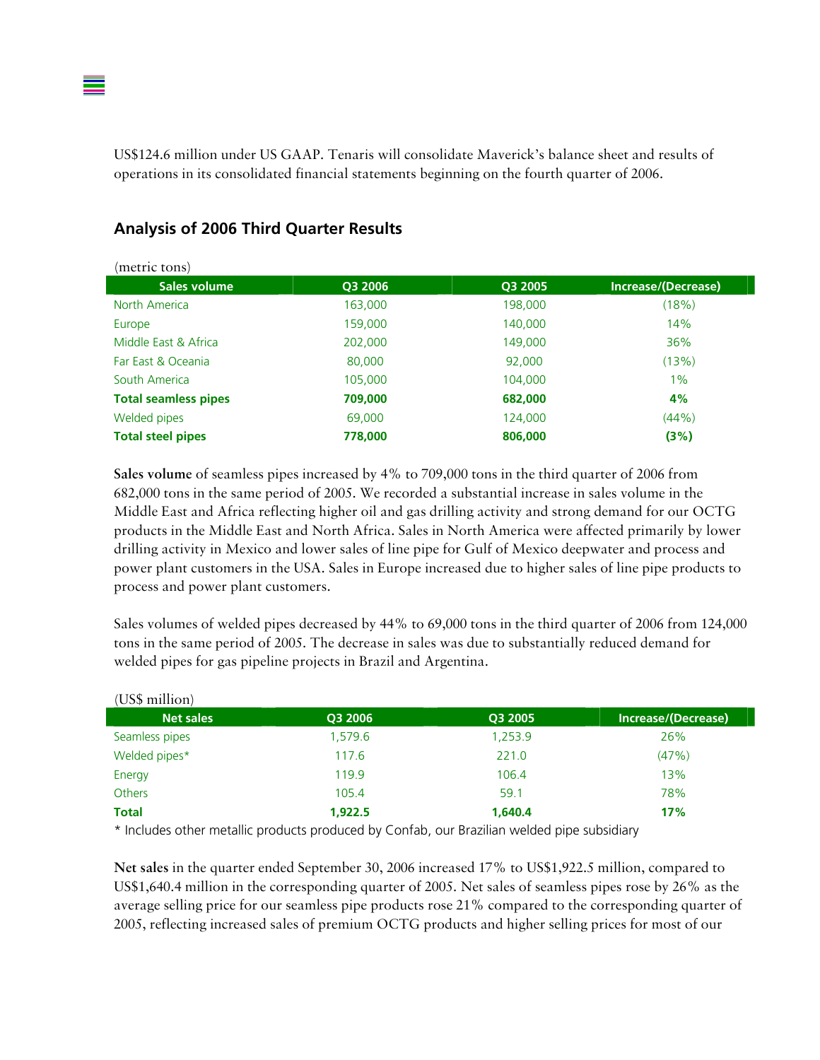

| (metric tons)               |         |         |                     |
|-----------------------------|---------|---------|---------------------|
| Sales volume                | Q3 2006 | Q3 2005 | Increase/(Decrease) |
| North America               | 163,000 | 198,000 | (18%)               |
| Europe                      | 159,000 | 140,000 | 14%                 |
| Middle East & Africa        | 202,000 | 149,000 | 36%                 |
| Far East & Oceania          | 80,000  | 92,000  | (13%)               |
| South America               | 105,000 | 104,000 | 1%                  |
| <b>Total seamless pipes</b> | 709,000 | 682,000 | 4%                  |
| Welded pipes                | 69,000  | 124,000 | (44% )              |
| <b>Total steel pipes</b>    | 778,000 | 806,000 | (3%)                |

#### **Analysis of 2006 Third Quarter Results**

**Sales volume** of seamless pipes increased by 4% to 709,000 tons in the third quarter of 2006 from 682,000 tons in the same period of 2005. We recorded a substantial increase in sales volume in the Middle East and Africa reflecting higher oil and gas drilling activity and strong demand for our OCTG products in the Middle East and North Africa. Sales in North America were affected primarily by lower drilling activity in Mexico and lower sales of line pipe for Gulf of Mexico deepwater and process and power plant customers in the USA. Sales in Europe increased due to higher sales of line pipe products to process and power plant customers.

Sales volumes of welded pipes decreased by 44% to 69,000 tons in the third quarter of 2006 from 124,000 tons in the same period of 2005. The decrease in sales was due to substantially reduced demand for welded pipes for gas pipeline projects in Brazil and Argentina.

| (US\$ million)   |         |         |                     |
|------------------|---------|---------|---------------------|
| <b>Net sales</b> | Q3 2006 | Q3 2005 | Increase/(Decrease) |
| Seamless pipes   | 1,579.6 | 1,253.9 | 26%                 |
| Welded pipes*    | 117.6   | 221.0   | (47%)               |
| Energy           | 119.9   | 106.4   | 13%                 |
| <b>Others</b>    | 105.4   | 59.1    | 78%                 |
| <b>Total</b>     | 1.922.5 | 1.640.4 | 17%                 |

(US\$ million)

\* Includes other metallic products produced by Confab, our Brazilian welded pipe subsidiary

**Net sales** in the quarter ended September 30, 2006 increased 17% to US\$1,922.5 million, compared to US\$1,640.4 million in the corresponding quarter of 2005. Net sales of seamless pipes rose by 26% as the average selling price for our seamless pipe products rose 21% compared to the corresponding quarter of 2005, reflecting increased sales of premium OCTG products and higher selling prices for most of our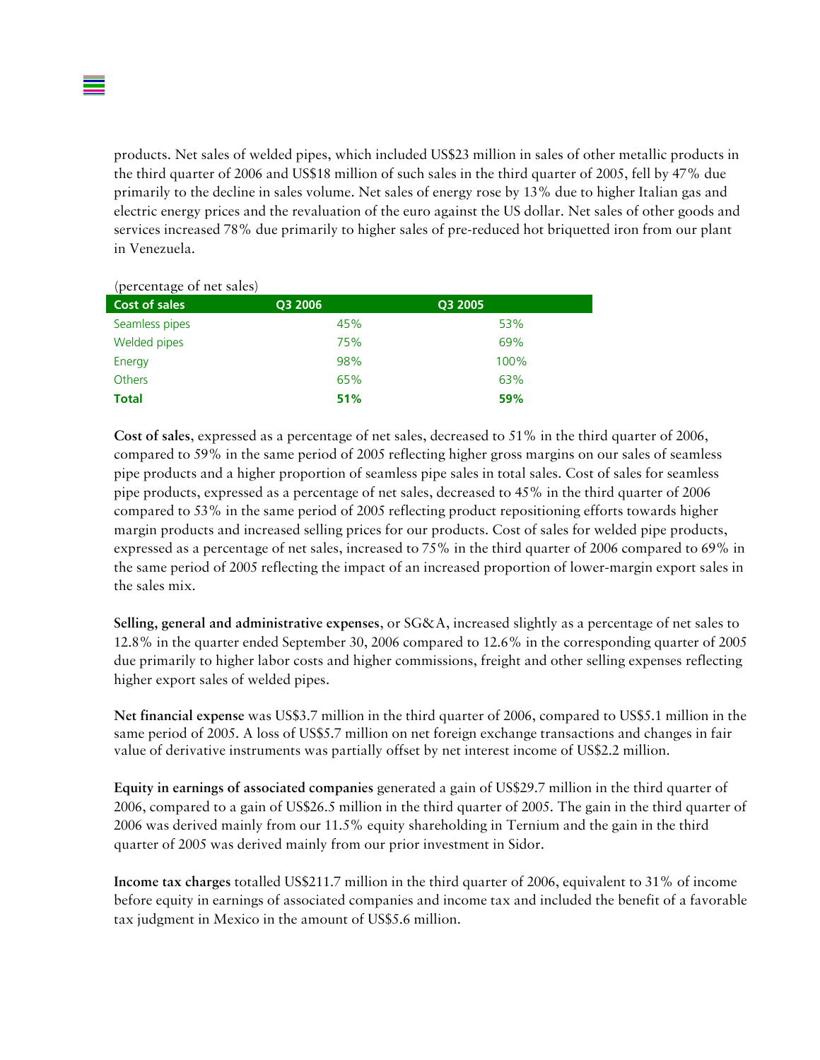products. Net sales of welded pipes, which included US\$23 million in sales of other metallic products in the third quarter of 2006 and US\$18 million of such sales in the third quarter of 2005, fell by 47% due primarily to the decline in sales volume. Net sales of energy rose by 13% due to higher Italian gas and electric energy prices and the revaluation of the euro against the US dollar. Net sales of other goods and services increased 78% due primarily to higher sales of pre-reduced hot briquetted iron from our plant in Venezuela.

| (percentage of net sales) |         |         |
|---------------------------|---------|---------|
| <b>Cost of sales</b>      | Q3 2006 | Q3 2005 |
| Seamless pipes            | 45%     | 53%     |
| Welded pipes              | 75%     | 69%     |
| Energy                    | 98%     | 100%    |
| <b>Others</b>             | 65%     | 63%     |
| <b>Total</b>              | 51%     | 59%     |

**Cost of sales**, expressed as a percentage of net sales, decreased to 51% in the third quarter of 2006, compared to 59% in the same period of 2005 reflecting higher gross margins on our sales of seamless pipe products and a higher proportion of seamless pipe sales in total sales. Cost of sales for seamless pipe products, expressed as a percentage of net sales, decreased to 45% in the third quarter of 2006 compared to 53% in the same period of 2005 reflecting product repositioning efforts towards higher margin products and increased selling prices for our products. Cost of sales for welded pipe products, expressed as a percentage of net sales, increased to 75% in the third quarter of 2006 compared to 69% in the same period of 2005 reflecting the impact of an increased proportion of lower-margin export sales in the sales mix.

**Selling, general and administrative expenses**, or SG&A, increased slightly as a percentage of net sales to 12.8% in the quarter ended September 30, 2006 compared to 12.6% in the corresponding quarter of 2005 due primarily to higher labor costs and higher commissions, freight and other selling expenses reflecting higher export sales of welded pipes.

**Net financial expense** was US\$3.7 million in the third quarter of 2006, compared to US\$5.1 million in the same period of 2005. A loss of US\$5.7 million on net foreign exchange transactions and changes in fair value of derivative instruments was partially offset by net interest income of US\$2.2 million.

**Equity in earnings of associated companies** generated a gain of US\$29.7 million in the third quarter of 2006, compared to a gain of US\$26.5 million in the third quarter of 2005. The gain in the third quarter of 2006 was derived mainly from our 11.5% equity shareholding in Ternium and the gain in the third quarter of 2005 was derived mainly from our prior investment in Sidor.

**Income tax charges** totalled US\$211.7 million in the third quarter of 2006, equivalent to 31% of income before equity in earnings of associated companies and income tax and included the benefit of a favorable tax judgment in Mexico in the amount of US\$5.6 million.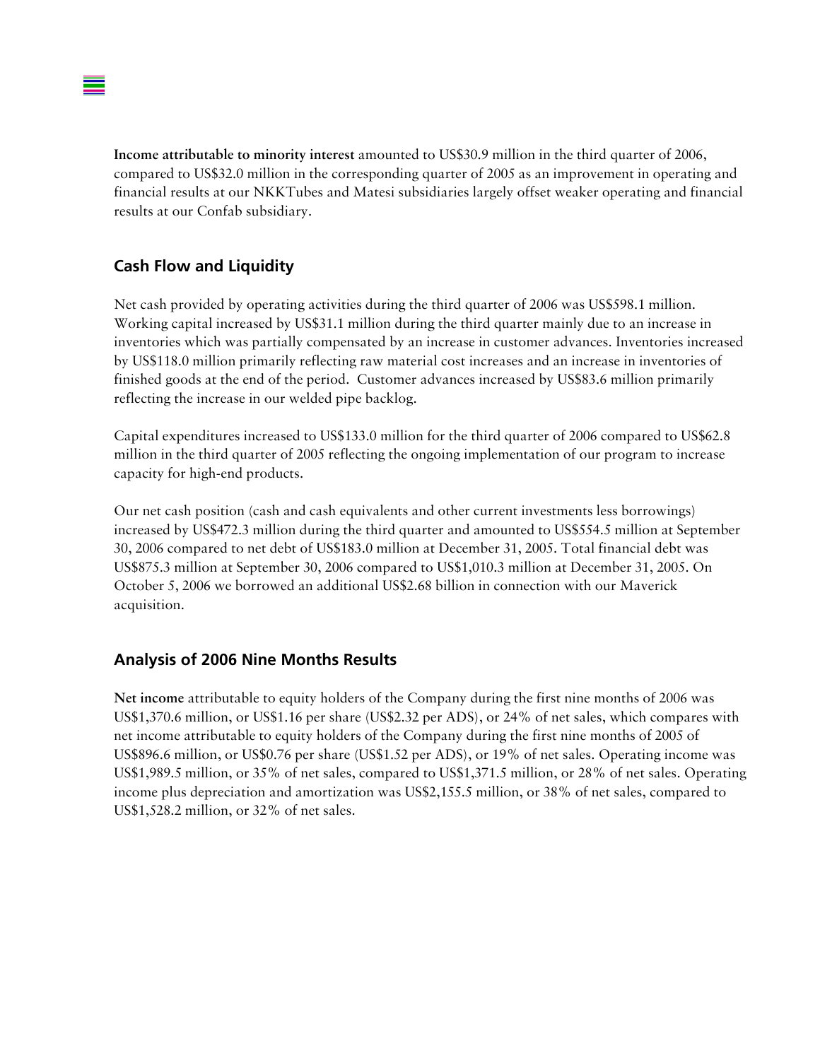**Income attributable to minority interest** amounted to US\$30.9 million in the third quarter of 2006, compared to US\$32.0 million in the corresponding quarter of 2005 as an improvement in operating and financial results at our NKKTubes and Matesi subsidiaries largely offset weaker operating and financial results at our Confab subsidiary.

## **Cash Flow and Liquidity**

Net cash provided by operating activities during the third quarter of 2006 was US\$598.1 million. Working capital increased by US\$31.1 million during the third quarter mainly due to an increase in inventories which was partially compensated by an increase in customer advances. Inventories increased by US\$118.0 million primarily reflecting raw material cost increases and an increase in inventories of finished goods at the end of the period. Customer advances increased by US\$83.6 million primarily reflecting the increase in our welded pipe backlog.

Capital expenditures increased to US\$133.0 million for the third quarter of 2006 compared to US\$62.8 million in the third quarter of 2005 reflecting the ongoing implementation of our program to increase capacity for high-end products.

Our net cash position (cash and cash equivalents and other current investments less borrowings) increased by US\$472.3 million during the third quarter and amounted to US\$554.5 million at September 30, 2006 compared to net debt of US\$183.0 million at December 31, 2005. Total financial debt was US\$875.3 million at September 30, 2006 compared to US\$1,010.3 million at December 31, 2005. On October 5, 2006 we borrowed an additional US\$2.68 billion in connection with our Maverick acquisition.

#### **Analysis of 2006 Nine Months Results**

**Net income** attributable to equity holders of the Company during the first nine months of 2006 was US\$1,370.6 million, or US\$1.16 per share (US\$2.32 per ADS), or 24% of net sales, which compares with net income attributable to equity holders of the Company during the first nine months of 2005 of US\$896.6 million, or US\$0.76 per share (US\$1.52 per ADS), or 19% of net sales. Operating income was US\$1,989.5 million, or 35% of net sales, compared to US\$1,371.5 million, or 28% of net sales. Operating income plus depreciation and amortization was US\$2,155.5 million, or 38% of net sales, compared to US\$1,528.2 million, or 32% of net sales.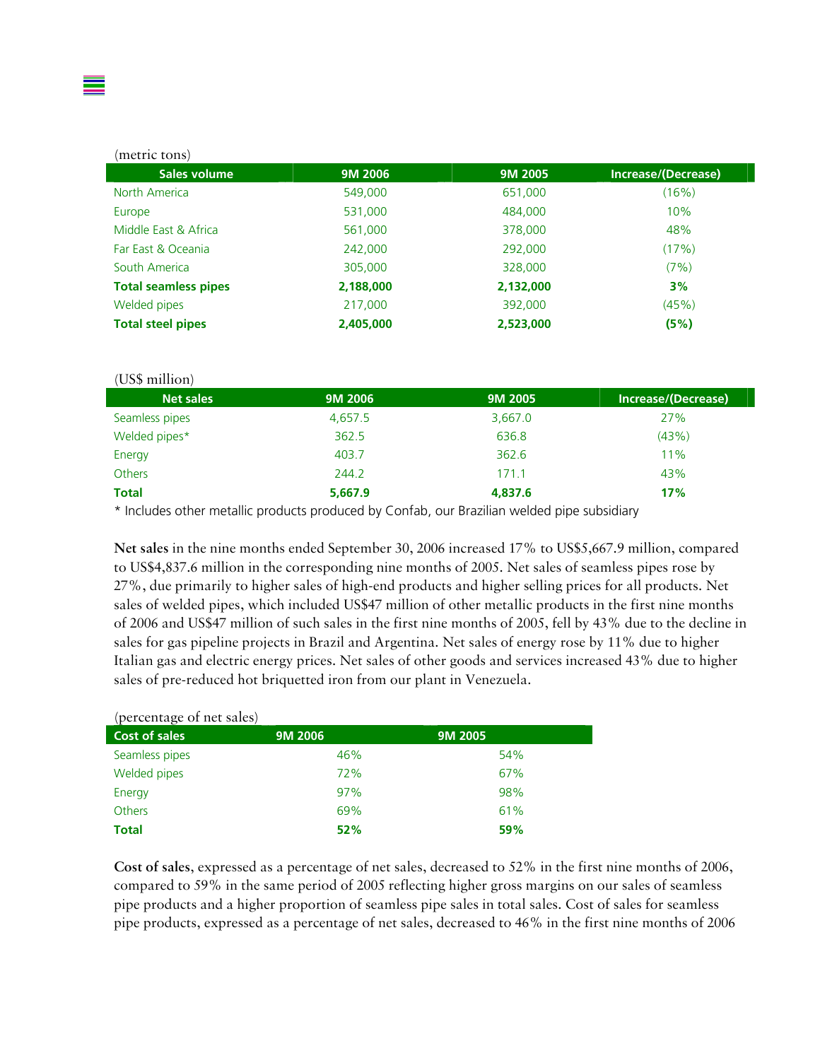#### (metric tons)

| Sales volume                | 9M 2006   | 9M 2005   | Increase/(Decrease) |
|-----------------------------|-----------|-----------|---------------------|
| North America               | 549,000   | 651,000   | (16%)               |
| Europe                      | 531,000   | 484,000   | 10%                 |
| Middle East & Africa        | 561,000   | 378,000   | 48%                 |
| Far East & Oceania          | 242,000   | 292,000   | (17%)               |
| South America               | 305,000   | 328,000   | (7%)                |
| <b>Total seamless pipes</b> | 2,188,000 | 2,132,000 | 3%                  |
| Welded pipes                | 217,000   | 392,000   | (45%)               |
| <b>Total steel pipes</b>    | 2,405,000 | 2,523,000 | (5%)                |

#### (US\$ million) **Net sales 9M 2006 9M 2005 Increase/(Decrease)** Seamless pipes and the control of the 4,657.5 3,667.0 27% Welded pipes\*  $362.5$  636.8 (43%) Energy 403.7 362.6 11% Others 244.2 171.1 43% **Total 5,667.9 4,837.6 17%**

\* Includes other metallic products produced by Confab, our Brazilian welded pipe subsidiary

**Net sales** in the nine months ended September 30, 2006 increased 17% to US\$5,667.9 million, compared to US\$4,837.6 million in the corresponding nine months of 2005. Net sales of seamless pipes rose by 27%, due primarily to higher sales of high-end products and higher selling prices for all products. Net sales of welded pipes, which included US\$47 million of other metallic products in the first nine months of 2006 and US\$47 million of such sales in the first nine months of 2005, fell by 43% due to the decline in sales for gas pipeline projects in Brazil and Argentina. Net sales of energy rose by 11% due to higher Italian gas and electric energy prices. Net sales of other goods and services increased 43% due to higher sales of pre-reduced hot briquetted iron from our plant in Venezuela.

#### (percentage of net sales)

| $\mathbf{v}$<br>Cost of sales | 9M 2006 | 9M 2005 |
|-------------------------------|---------|---------|
| Seamless pipes                | 46%     | 54%     |
| Welded pipes                  | 72%     | 67%     |
| Energy                        | 97%     | 98%     |
| <b>Others</b>                 | 69%     | 61%     |
| <b>Total</b>                  | 52%     | 59%     |

**Cost of sales**, expressed as a percentage of net sales, decreased to 52% in the first nine months of 2006, compared to 59% in the same period of 2005 reflecting higher gross margins on our sales of seamless pipe products and a higher proportion of seamless pipe sales in total sales. Cost of sales for seamless pipe products, expressed as a percentage of net sales, decreased to 46% in the first nine months of 2006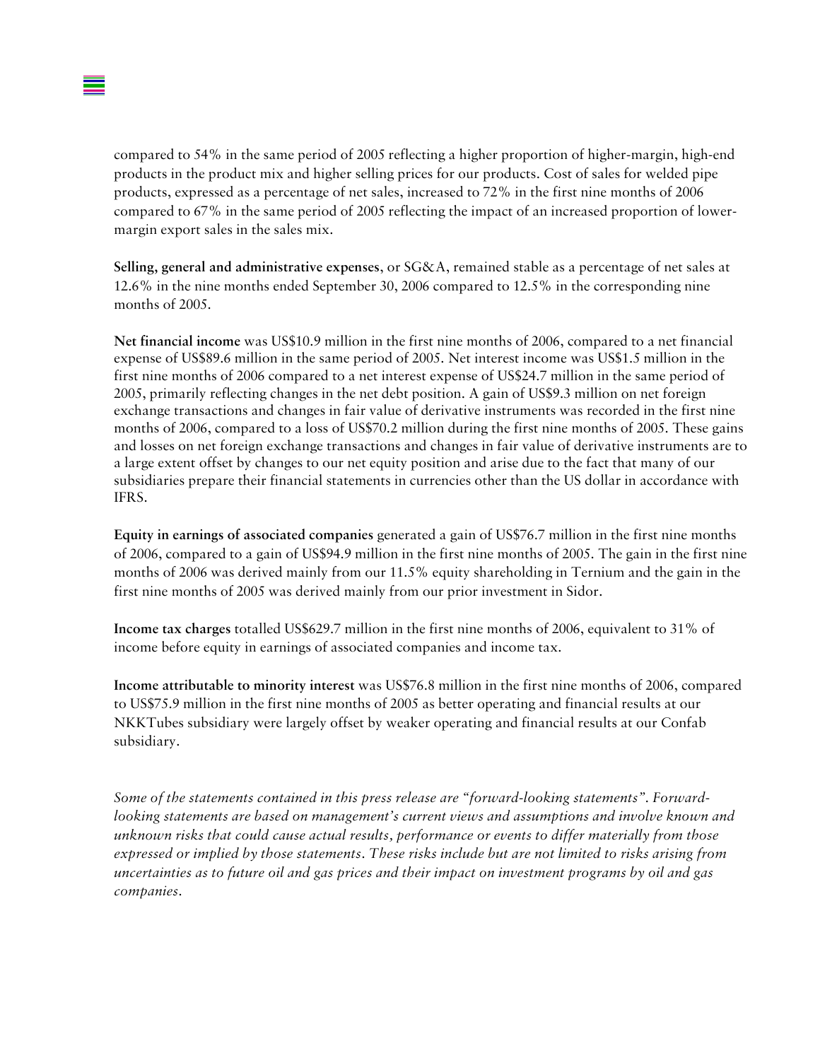

compared to 54% in the same period of 2005 reflecting a higher proportion of higher-margin, high-end products in the product mix and higher selling prices for our products. Cost of sales for welded pipe products, expressed as a percentage of net sales, increased to 72% in the first nine months of 2006 compared to 67% in the same period of 2005 reflecting the impact of an increased proportion of lowermargin export sales in the sales mix.

**Selling, general and administrative expenses**, or SG&A, remained stable as a percentage of net sales at 12.6% in the nine months ended September 30, 2006 compared to 12.5% in the corresponding nine months of 2005.

**Net financial income** was US\$10.9 million in the first nine months of 2006, compared to a net financial expense of US\$89.6 million in the same period of 2005. Net interest income was US\$1.5 million in the first nine months of 2006 compared to a net interest expense of US\$24.7 million in the same period of 2005, primarily reflecting changes in the net debt position. A gain of US\$9.3 million on net foreign exchange transactions and changes in fair value of derivative instruments was recorded in the first nine months of 2006, compared to a loss of US\$70.2 million during the first nine months of 2005. These gains and losses on net foreign exchange transactions and changes in fair value of derivative instruments are to a large extent offset by changes to our net equity position and arise due to the fact that many of our subsidiaries prepare their financial statements in currencies other than the US dollar in accordance with IFRS.

**Equity in earnings of associated companies** generated a gain of US\$76.7 million in the first nine months of 2006, compared to a gain of US\$94.9 million in the first nine months of 2005. The gain in the first nine months of 2006 was derived mainly from our 11.5% equity shareholding in Ternium and the gain in the first nine months of 2005 was derived mainly from our prior investment in Sidor.

**Income tax charges** totalled US\$629.7 million in the first nine months of 2006, equivalent to 31% of income before equity in earnings of associated companies and income tax.

**Income attributable to minority interest** was US\$76.8 million in the first nine months of 2006, compared to US\$75.9 million in the first nine months of 2005 as better operating and financial results at our NKKTubes subsidiary were largely offset by weaker operating and financial results at our Confab subsidiary.

*Some of the statements contained in this press release are "forward-looking statements". Forwardlooking statements are based on management's current views and assumptions and involve known and unknown risks that could cause actual results, performance or events to differ materially from those expressed or implied by those statements. These risks include but are not limited to risks arising from uncertainties as to future oil and gas prices and their impact on investment programs by oil and gas companies.*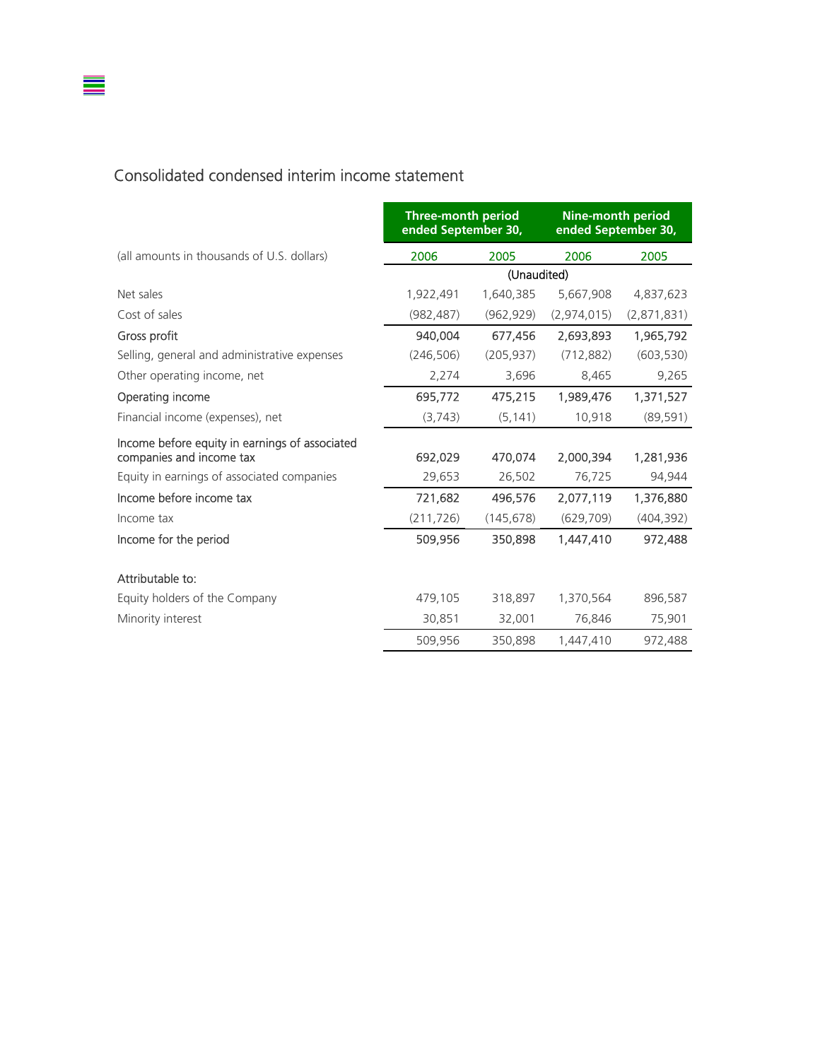#### Consolidated condensed interim income statement

 $\equiv$ 

|                                                                            | <b>Three-month period</b><br>ended September 30, |             | <b>Nine-month period</b><br>ended September 30, |             |
|----------------------------------------------------------------------------|--------------------------------------------------|-------------|-------------------------------------------------|-------------|
| (all amounts in thousands of U.S. dollars)                                 | 2006                                             | 2005        | 2006                                            | 2005        |
|                                                                            |                                                  | (Unaudited) |                                                 |             |
| Net sales                                                                  | 1,922,491                                        | 1,640,385   | 5,667,908                                       | 4,837,623   |
| Cost of sales                                                              | (982, 487)                                       | (962, 929)  | (2,974,015)                                     | (2,871,831) |
| Gross profit                                                               | 940,004                                          | 677,456     | 2.693.893                                       | 1,965,792   |
| Selling, general and administrative expenses                               | (246, 506)                                       | (205, 937)  | (712, 882)                                      | (603, 530)  |
| Other operating income, net                                                | 2,274                                            | 3,696       | 8,465                                           | 9,265       |
| Operating income                                                           | 695,772                                          | 475,215     | 1,989,476                                       | 1,371,527   |
| Financial income (expenses), net                                           | (3,743)                                          | (5, 141)    | 10,918                                          | (89, 591)   |
| Income before equity in earnings of associated<br>companies and income tax | 692,029                                          | 470,074     | 2,000,394                                       | 1,281,936   |
| Equity in earnings of associated companies                                 | 29,653                                           | 26,502      | 76,725                                          | 94,944      |
| Income before income tax                                                   | 721,682                                          | 496,576     | 2.077.119                                       | 1,376,880   |
| Income tax                                                                 | (211, 726)                                       | (145, 678)  | (629, 709)                                      | (404, 392)  |
| Income for the period                                                      | 509,956                                          | 350,898     | 1,447,410                                       | 972,488     |
| Attributable to:                                                           |                                                  |             |                                                 |             |
| Equity holders of the Company                                              | 479,105                                          | 318,897     | 1,370,564                                       | 896,587     |
| Minority interest                                                          | 30,851                                           | 32,001      | 76,846                                          | 75,901      |
|                                                                            | 509,956                                          | 350,898     | 1,447,410                                       | 972,488     |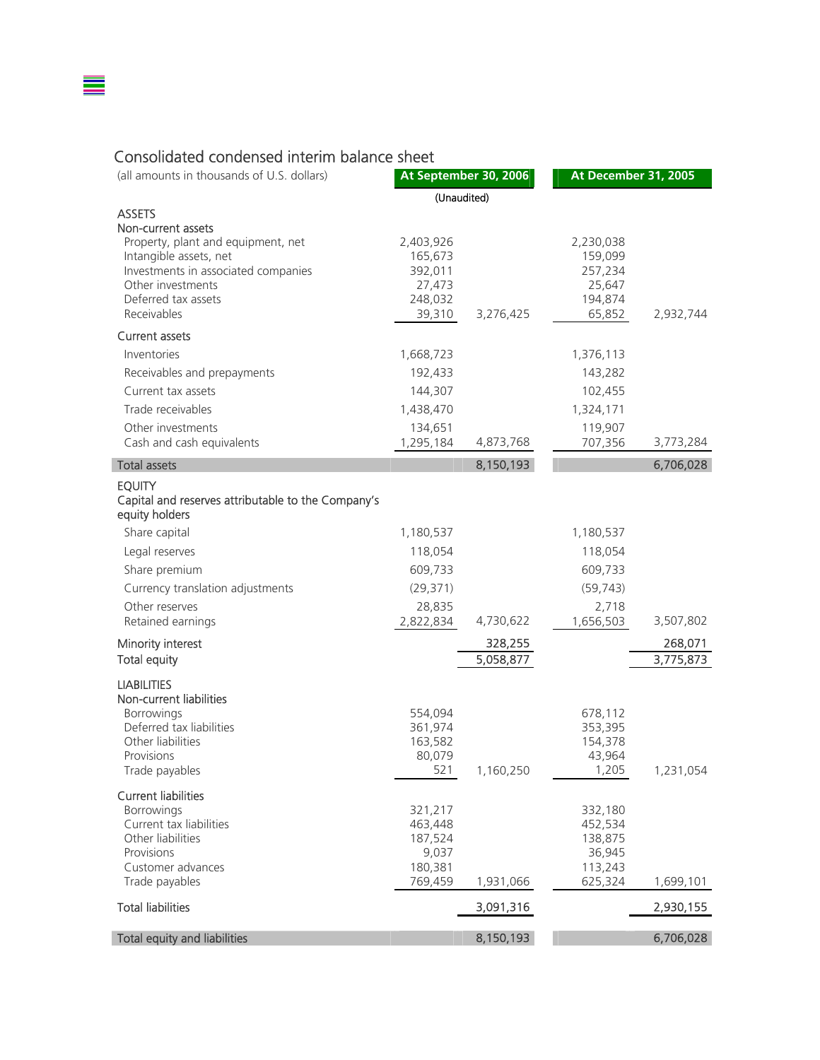## Consolidated condensed interim balance sheet

≣

| (all amounts in thousands of U.S. dollars)                                                                                                      |                                                      | At September 30, 2006 | At December 31, 2005                                 |           |
|-------------------------------------------------------------------------------------------------------------------------------------------------|------------------------------------------------------|-----------------------|------------------------------------------------------|-----------|
|                                                                                                                                                 | (Unaudited)                                          |                       |                                                      |           |
| <b>ASSETS</b><br>Non-current assets                                                                                                             |                                                      |                       |                                                      |           |
| Property, plant and equipment, net<br>Intangible assets, net<br>Investments in associated companies<br>Other investments<br>Deferred tax assets | 2,403,926<br>165,673<br>392,011<br>27,473<br>248,032 |                       | 2,230,038<br>159,099<br>257,234<br>25,647<br>194,874 |           |
| Receivables                                                                                                                                     | 39,310                                               | 3,276,425             | 65,852                                               | 2,932,744 |
| <b>Current assets</b>                                                                                                                           |                                                      |                       |                                                      |           |
| Inventories                                                                                                                                     | 1,668,723                                            |                       | 1,376,113                                            |           |
| Receivables and prepayments                                                                                                                     | 192,433                                              |                       | 143,282                                              |           |
| Current tax assets                                                                                                                              | 144,307                                              |                       | 102,455                                              |           |
| Trade receivables                                                                                                                               | 1,438,470                                            |                       | 1,324,171                                            |           |
| Other investments<br>Cash and cash equivalents                                                                                                  | 134,651<br>1,295,184                                 | 4,873,768             | 119,907<br>707,356                                   | 3,773,284 |
| <b>Total assets</b>                                                                                                                             |                                                      | 8,150,193             |                                                      | 6,706,028 |
|                                                                                                                                                 |                                                      |                       |                                                      |           |
| <b>EQUITY</b><br>Capital and reserves attributable to the Company's<br>equity holders                                                           |                                                      |                       |                                                      |           |
| Share capital                                                                                                                                   | 1,180,537                                            |                       | 1,180,537                                            |           |
| Legal reserves                                                                                                                                  | 118,054                                              |                       | 118,054                                              |           |
| Share premium                                                                                                                                   | 609,733                                              |                       | 609,733                                              |           |
| Currency translation adjustments                                                                                                                | (29, 371)                                            |                       | (59, 743)                                            |           |
| Other reserves                                                                                                                                  | 28,835                                               |                       | 2,718                                                |           |
| Retained earnings                                                                                                                               | 2,822,834                                            | 4,730,622             | 1,656,503                                            | 3,507,802 |
| Minority interest                                                                                                                               |                                                      | 328,255               |                                                      | 268,071   |
| <b>Total equity</b>                                                                                                                             |                                                      | 5,058,877             |                                                      | 3,775,873 |
| <b>LIABILITIES</b>                                                                                                                              |                                                      |                       |                                                      |           |
| Non-current liabilities                                                                                                                         |                                                      |                       |                                                      |           |
| Borrowings<br>Deferred tax liabilities                                                                                                          | 554,094<br>361,974                                   |                       | 678,112<br>353,395                                   |           |
| Other liabilities                                                                                                                               | 163,582                                              |                       | 154,378                                              |           |
| Provisions                                                                                                                                      | 80,079                                               |                       | 43,964                                               |           |
| I rade payables                                                                                                                                 | 521                                                  | 1,160,250             | 1,205                                                | 1,231,054 |
| <b>Current liabilities</b>                                                                                                                      |                                                      |                       |                                                      |           |
| Borrowings<br>Current tax liabilities                                                                                                           | 321,217<br>463,448                                   |                       | 332,180<br>452,534                                   |           |
| Other liabilities                                                                                                                               | 187,524                                              |                       | 138,875                                              |           |
| Provisions                                                                                                                                      | 9,037                                                |                       | 36,945                                               |           |
| Customer advances                                                                                                                               | 180,381                                              |                       | 113,243                                              |           |
| Trade payables                                                                                                                                  | 769,459                                              | 1,931,066             | 625,324                                              | 1,699,101 |
| <b>Total liabilities</b>                                                                                                                        |                                                      | 3,091,316             |                                                      | 2,930,155 |
| <b>Total equity and liabilities</b>                                                                                                             |                                                      | 8,150,193             |                                                      | 6,706,028 |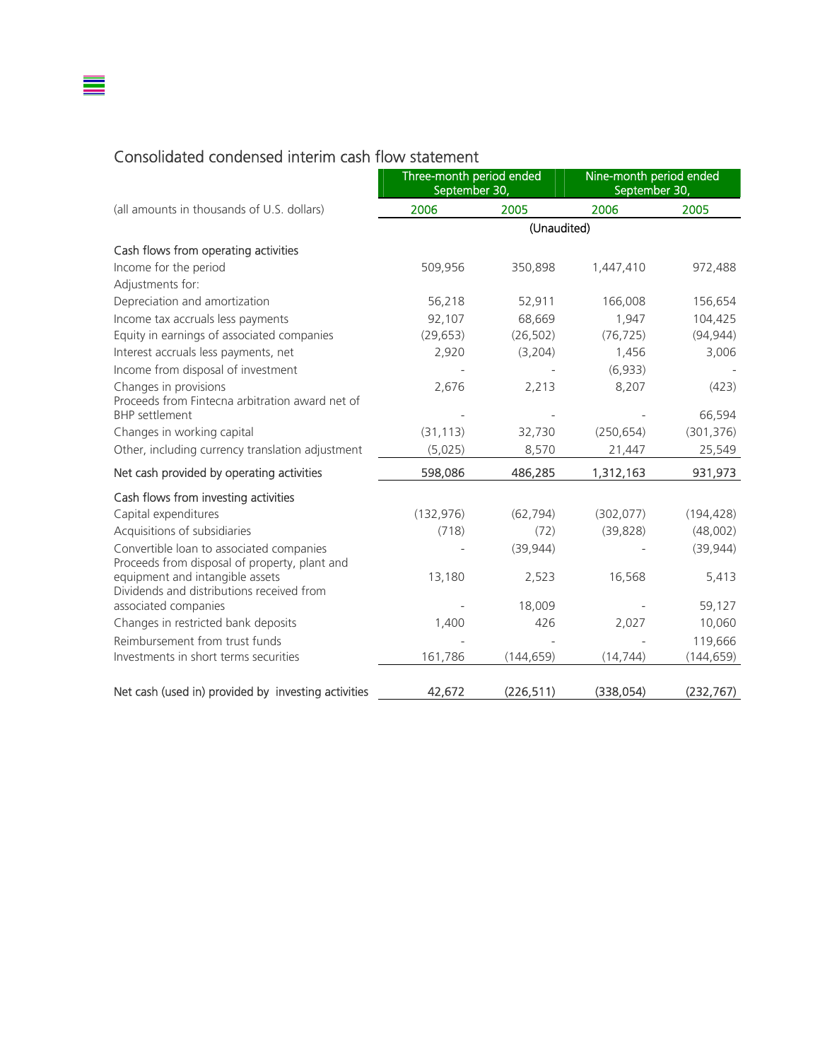## Consolidated condensed interim cash flow statement

≣

|                                                                                           | Three-month period ended<br>September 30, |             | Nine-month period ended<br>September 30, |            |
|-------------------------------------------------------------------------------------------|-------------------------------------------|-------------|------------------------------------------|------------|
| (all amounts in thousands of U.S. dollars)                                                | 2006                                      | 2005        | 2006                                     | 2005       |
|                                                                                           |                                           | (Unaudited) |                                          |            |
| Cash flows from operating activities                                                      |                                           |             |                                          |            |
| Income for the period                                                                     | 509,956                                   | 350,898     | 1,447,410                                | 972,488    |
| Adjustments for:                                                                          |                                           |             |                                          |            |
| Depreciation and amortization                                                             | 56,218                                    | 52,911      | 166,008                                  | 156,654    |
| Income tax accruals less payments                                                         | 92,107                                    | 68,669      | 1,947                                    | 104,425    |
| Equity in earnings of associated companies                                                | (29, 653)                                 | (26, 502)   | (76, 725)                                | (94, 944)  |
| Interest accruals less payments, net                                                      | 2,920                                     | (3,204)     | 1,456                                    | 3,006      |
| Income from disposal of investment                                                        |                                           |             | (6,933)                                  |            |
| Changes in provisions                                                                     | 2,676                                     | 2,213       | 8,207                                    | (423)      |
| Proceeds from Fintecna arbitration award net of<br><b>BHP</b> settlement                  |                                           |             |                                          | 66,594     |
| Changes in working capital                                                                | (31, 113)                                 | 32,730      | (250, 654)                               | (301, 376) |
| Other, including currency translation adjustment                                          | (5,025)                                   | 8,570       | 21,447                                   | 25,549     |
| Net cash provided by operating activities                                                 | 598,086                                   | 486,285     | 1,312,163                                | 931,973    |
| Cash flows from investing activities                                                      |                                           |             |                                          |            |
| Capital expenditures                                                                      | (132, 976)                                | (62, 794)   | (302, 077)                               | (194, 428) |
| Acquisitions of subsidiaries                                                              | (718)                                     | (72)        | (39, 828)                                | (48,002)   |
| Convertible loan to associated companies<br>Proceeds from disposal of property, plant and |                                           | (39, 944)   |                                          | (39, 944)  |
| equipment and intangible assets<br>Dividends and distributions received from              | 13,180                                    | 2,523       | 16,568                                   | 5,413      |
| associated companies                                                                      |                                           | 18,009      |                                          | 59,127     |
| Changes in restricted bank deposits                                                       | 1,400                                     | 426         | 2,027                                    | 10,060     |
| Reimbursement from trust funds                                                            |                                           |             |                                          | 119,666    |
| Investments in short terms securities                                                     | 161,786                                   | (144, 659)  | (14, 744)                                | (144, 659) |
| Net cash (used in) provided by investing activities                                       | 42,672                                    | (226, 511)  | (338, 054)                               | (232, 767) |